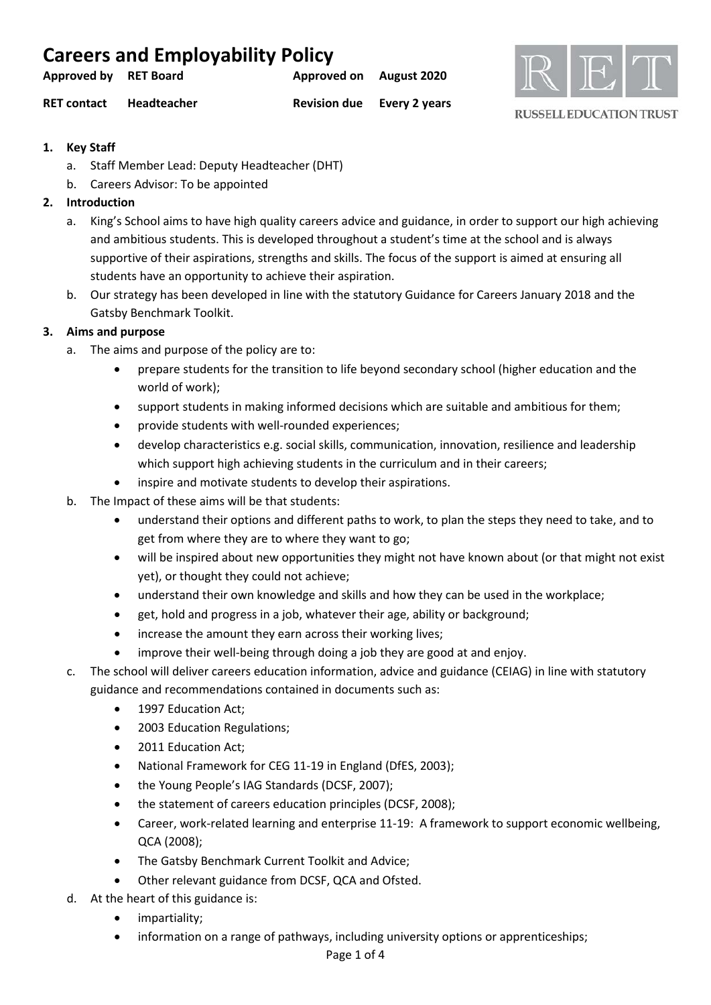| <b>Careers and Employability Policy</b> |             |                                   |  |  |  |
|-----------------------------------------|-------------|-----------------------------------|--|--|--|
| Approved by RET Board                   |             | Approved on August 2020           |  |  |  |
| <b>RET contact</b>                      | Headteacher | <b>Revision due</b> Every 2 years |  |  |  |



**RUSSELL EDUCATION TRUST** 

- **1. Key Staff**
	- a. Staff Member Lead: Deputy Headteacher (DHT)
	- b. Careers Advisor: To be appointed

# **2. Introduction**

- a. King's School aims to have high quality careers advice and guidance, in order to support our high achieving and ambitious students. This is developed throughout a student's time at the school and is always supportive of their aspirations, strengths and skills. The focus of the support is aimed at ensuring all students have an opportunity to achieve their aspiration.
- b. Our strategy has been developed in line with the statutory Guidance for Careers January 2018 and the Gatsby Benchmark Toolkit.

# **3. Aims and purpose**

- a. The aims and purpose of the policy are to:
	- prepare students for the transition to life beyond secondary school (higher education and the world of work);
	- support students in making informed decisions which are suitable and ambitious for them;
	- provide students with well-rounded experiences;
	- develop characteristics e.g. social skills, communication, innovation, resilience and leadership which support high achieving students in the curriculum and in their careers;
	- inspire and motivate students to develop their aspirations.
- b. The Impact of these aims will be that students:
	- understand their options and different paths to work, to plan the steps they need to take, and to get from where they are to where they want to go;
	- will be inspired about new opportunities they might not have known about (or that might not exist yet), or thought they could not achieve;
	- understand their own knowledge and skills and how they can be used in the workplace;
	- get, hold and progress in a job, whatever their age, ability or background;
	- increase the amount they earn across their working lives;
	- improve their well-being through doing a job they are good at and enjoy.
- c. The school will deliver careers education information, advice and guidance (CEIAG) in line with statutory guidance and recommendations contained in documents such as:
	- 1997 Education Act;
	- 2003 Education Regulations;
	- 2011 Education Act;
	- National Framework for CEG 11-19 in England (DfES, 2003);
	- the Young People's IAG Standards (DCSF, 2007);
	- the statement of careers education principles (DCSF, 2008);
	- Career, work-related learning and enterprise 11-19: A framework to support economic wellbeing, QCA (2008);
	- The Gatsby Benchmark Current Toolkit and Advice;
	- Other relevant guidance from DCSF, QCA and Ofsted.
- d. At the heart of this guidance is:
	- impartiality;
	- information on a range of pathways, including university options or apprenticeships;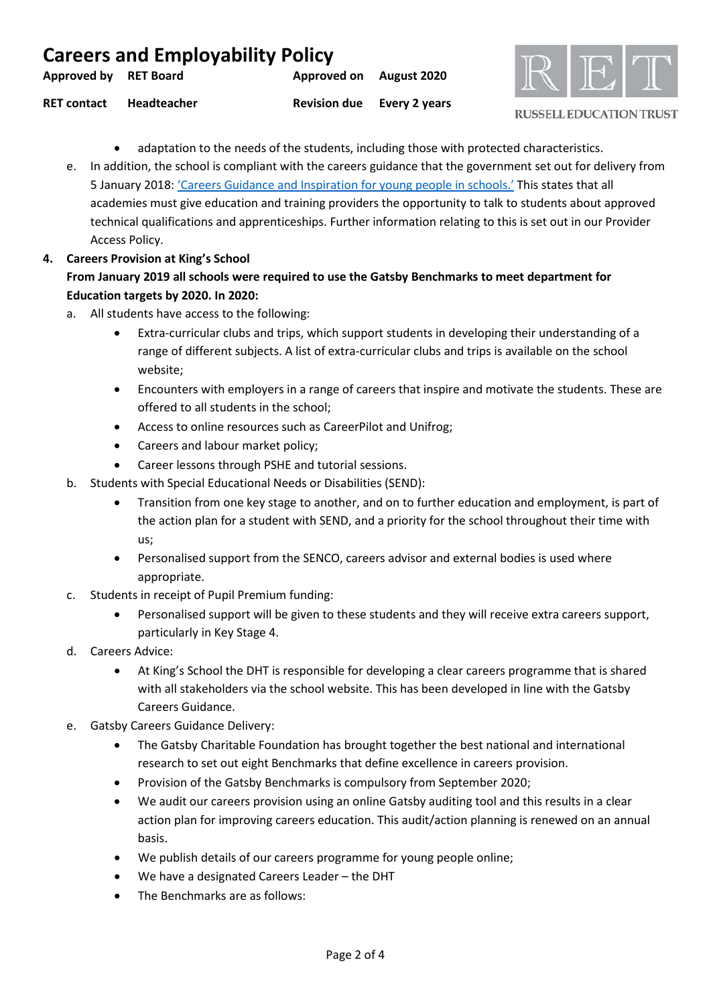| <b>Careers and Employability Policy</b> |             |                         |                                   |  |  |
|-----------------------------------------|-------------|-------------------------|-----------------------------------|--|--|
| Approved by RET Board                   |             | Approved on August 2020 |                                   |  |  |
| <b>RET contact</b>                      | Headteacher |                         | <b>Revision due</b> Every 2 years |  |  |



#### **RUSSELL EDUCATION TRUST**

- adaptation to the needs of the students, including those with protected characteristics.
- e. In addition, the school is compliant with the careers guidance that the government set out for delivery from 5 January 2018[: 'Careers Guidance and Inspiration for young people in schools.'](https://www.gov.uk/government/publications/careers-guidance-provision-for-young-people-in-schools) This states that all academies must give education and training providers the opportunity to talk to students about approved technical qualifications and apprenticeships. Further information relating to this is set out in our Provider Access Policy.
- **4. Careers Provision at King's School From January 2019 all schools were required to use the Gatsby Benchmarks to meet department for Education targets by 2020. In 2020:**
	- a. All students have access to the following:
		- Extra-curricular clubs and trips, which support students in developing their understanding of a range of different subjects. A list of extra-curricular clubs and trips is available on the school website;
		- Encounters with employers in a range of careers that inspire and motivate the students. These are offered to all students in the school;
		- Access to online resources such as CareerPilot and Unifrog;
		- Careers and labour market policy;
		- Career lessons through PSHE and tutorial sessions.
	- b. Students with Special Educational Needs or Disabilities (SEND):
		- Transition from one key stage to another, and on to further education and employment, is part of the action plan for a student with SEND, and a priority for the school throughout their time with us;
		- Personalised support from the SENCO, careers advisor and external bodies is used where appropriate.
	- c. Students in receipt of Pupil Premium funding:
		- Personalised support will be given to these students and they will receive extra careers support, particularly in Key Stage 4.
	- d. Careers Advice:
		- At King's School the DHT is responsible for developing a clear careers programme that is shared with all stakeholders via the school website. This has been developed in line with the Gatsby Careers Guidance.
	- e. Gatsby Careers Guidance Delivery:
		- The Gatsby Charitable Foundation has brought together the best national and international research to set out eight Benchmarks that define excellence in careers provision.
		- Provision of the Gatsby Benchmarks is compulsory from September 2020;
		- We audit our careers provision using an online Gatsby auditing tool and this results in a clear action plan for improving careers education. This audit/action planning is renewed on an annual basis.
		- We publish details of our careers programme for young people online;
		- We have a designated Careers Leader the DHT
		- The Benchmarks are as follows: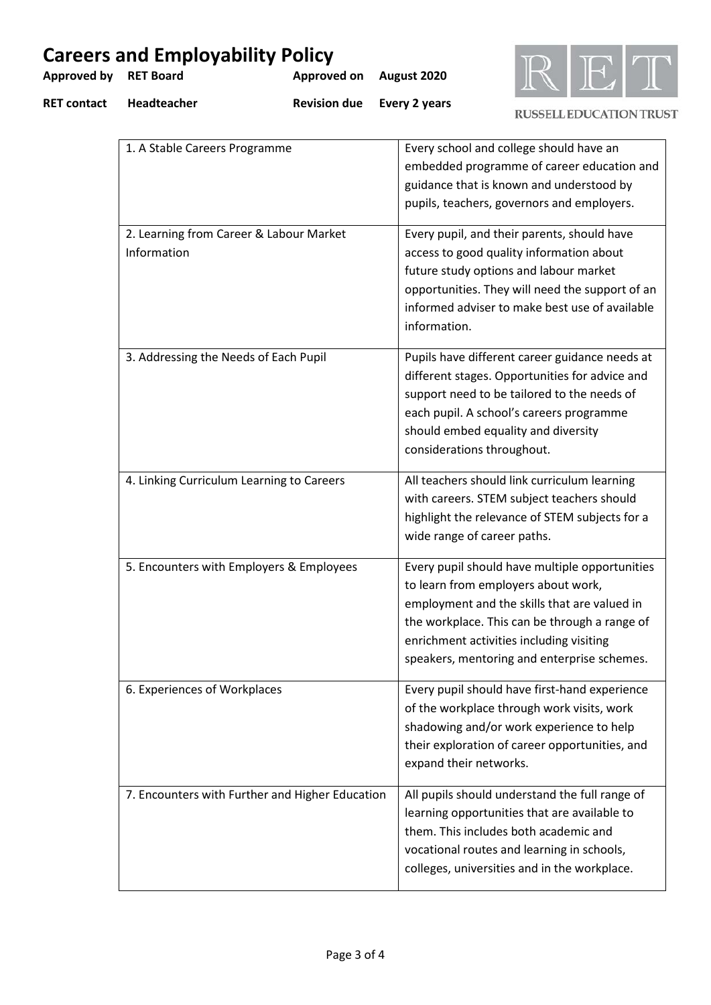| <b>Approved by</b> | <b>Careers and Employability Policy</b><br><b>RET Board</b> | <b>Approved on</b>                              | August 2020                                                                                                                                                                                                                                                                       |                                |  |
|--------------------|-------------------------------------------------------------|-------------------------------------------------|-----------------------------------------------------------------------------------------------------------------------------------------------------------------------------------------------------------------------------------------------------------------------------------|--------------------------------|--|
| <b>RET contact</b> | Headteacher                                                 | <b>Revision due</b>                             | Every 2 years                                                                                                                                                                                                                                                                     | <b>RUSSELL EDUCATION TRUST</b> |  |
|                    | 1. A Stable Careers Programme                               |                                                 | Every school and college should have an<br>embedded programme of career education and<br>guidance that is known and understood by<br>pupils, teachers, governors and employers.                                                                                                   |                                |  |
|                    | 2. Learning from Career & Labour Market<br>Information      |                                                 | Every pupil, and their parents, should have<br>access to good quality information about<br>future study options and labour market<br>opportunities. They will need the support of an<br>informed adviser to make best use of available<br>information.                            |                                |  |
|                    | 3. Addressing the Needs of Each Pupil                       |                                                 | Pupils have different career guidance needs at<br>different stages. Opportunities for advice and<br>support need to be tailored to the needs of<br>each pupil. A school's careers programme<br>should embed equality and diversity<br>considerations throughout.                  |                                |  |
|                    | 4. Linking Curriculum Learning to Careers                   |                                                 | All teachers should link curriculum learning<br>with careers. STEM subject teachers should<br>highlight the relevance of STEM subjects for a<br>wide range of career paths.                                                                                                       |                                |  |
|                    | 5. Encounters with Employers & Employees                    |                                                 | Every pupil should have multiple opportunities<br>to learn from employers about work,<br>employment and the skills that are valued in<br>the workplace. This can be through a range of<br>enrichment activities including visiting<br>speakers, mentoring and enterprise schemes. |                                |  |
|                    | 6. Experiences of Workplaces                                |                                                 | Every pupil should have first-hand experience<br>of the workplace through work visits, work<br>shadowing and/or work experience to help<br>their exploration of career opportunities, and<br>expand their networks.                                                               |                                |  |
|                    |                                                             | 7. Encounters with Further and Higher Education | All pupils should understand the full range of<br>learning opportunities that are available to<br>them. This includes both academic and<br>vocational routes and learning in schools,<br>colleges, universities and in the workplace.                                             |                                |  |